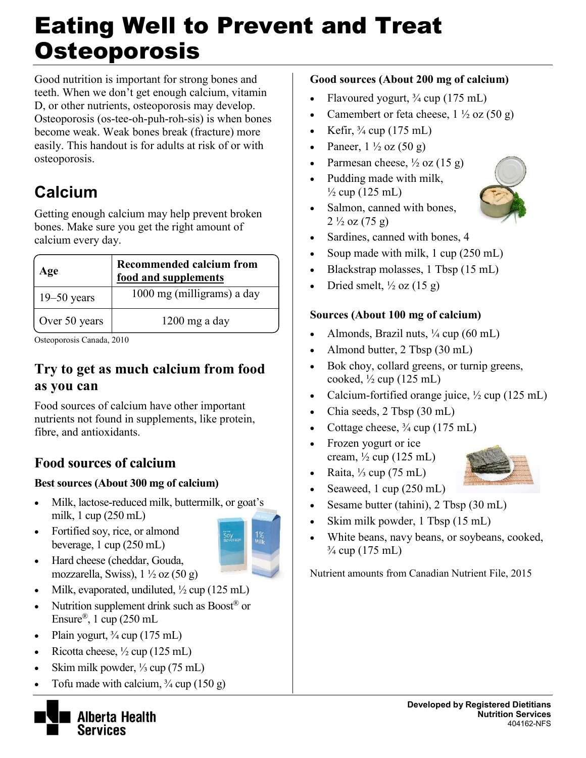# Eating Well to Prevent and Treat **Osteoporosis**

Good nutrition is important for strong bones and teeth. When we don't get enough calcium, vitamin D, or other nutrients, osteoporosis may develop. Osteoporosis (os-tee-oh-puh-roh-sis) is when bones become weak. Weak bones break (fracture) more easily. This handout is for adults at risk of or with osteoporosis.

# **Calcium**

Getting enough calcium may help prevent broken bones. Make sure you get the right amount of calcium every day.

| Age             | <b>Recommended calcium from</b><br>food and supplements |
|-----------------|---------------------------------------------------------|
| $19 - 50$ years | 1000 mg (milligrams) a day                              |
| Over 50 years   | $1200$ mg a day                                         |

Osteoporosis Canada, 2010

### **Try to get as much calcium from food as you can**

Food sources of calcium have other important nutrients not found in supplements, like protein, fibre, and antioxidants.

### **Food sources of calcium**

#### **Best sources (About 300 mg of calcium)**

- Milk, lactose-reduced milk, buttermilk, or goat's milk, 1 cup (250 mL)
- Fortified soy, rice, or almond beverage, 1 cup (250 mL)



- Hard cheese (cheddar, Gouda, mozzarella, Swiss),  $1\frac{1}{2}$  oz  $(50 \text{ g})$
- Milk, evaporated, undiluted,  $\frac{1}{2}$  cup (125 mL)
- Nutrition supplement drink such as  $Boost^{\circledR}$  or Ensure<sup>®</sup>, 1 cup (250 mL)
- Plain yogurt,  $\frac{3}{4}$  cup (175 mL)
- Ricotta cheese,  $\frac{1}{2}$  cup (125 mL)
- Skim milk powder, ⅓ cup (75 mL)
- Tofu made with calcium,  $\frac{3}{4}$  cup (150 g)



#### **Good sources (About 200 mg of calcium)**

- Flavoured yogurt, ¾ cup (175 mL)
- Camembert or feta cheese,  $1 \frac{1}{2}$  oz  $(50 g)$
- Exercise Kefir,  $\frac{3}{4}$  cup (175 mL)
- Paneer,  $1\frac{1}{2}$  oz  $(50 \text{ g})$
- Parmesan cheese,  $\frac{1}{2}$  oz (15 g)
- Pudding made with milk,  $\frac{1}{2}$  cup (125 mL)
- Salmon, canned with bones,  $2\frac{1}{2}$  oz (75 g)



- Soup made with milk, 1 cup (250 mL)
- Blackstrap molasses, 1 Tbsp (15 mL)
- Dried smelt,  $\frac{1}{2}$  oz (15 g)

#### **Sources (About 100 mg of calcium)**

- Almonds, Brazil nuts,  $\frac{1}{4}$  cup (60 mL)
- Almond butter, 2 Tbsp (30 mL)
- Bok choy, collard greens, or turnip greens, cooked,  $\frac{1}{2}$  cup (125 mL)
- Calcium-fortified orange juice,  $\frac{1}{2}$  cup (125 mL)
- Chia seeds, 2 Tbsp (30 mL)
- Cottage cheese,  $\frac{3}{4}$  cup (175 mL)
- Frozen yogurt or ice cream,  $\frac{1}{2}$  cup (125 mL)
- Raita,  $\frac{1}{3}$  cup (75 mL)
- Seaweed,  $1 \text{ cup } (250 \text{ mL})$
- Sesame butter (tahini), 2 Tbsp (30 mL)
- Skim milk powder, 1 Tbsp (15 mL)
- White beans, navy beans, or soybeans, cooked,  $\frac{3}{4}$  cup (175 mL)

Nutrient amounts from Canadian Nutrient File, 2015



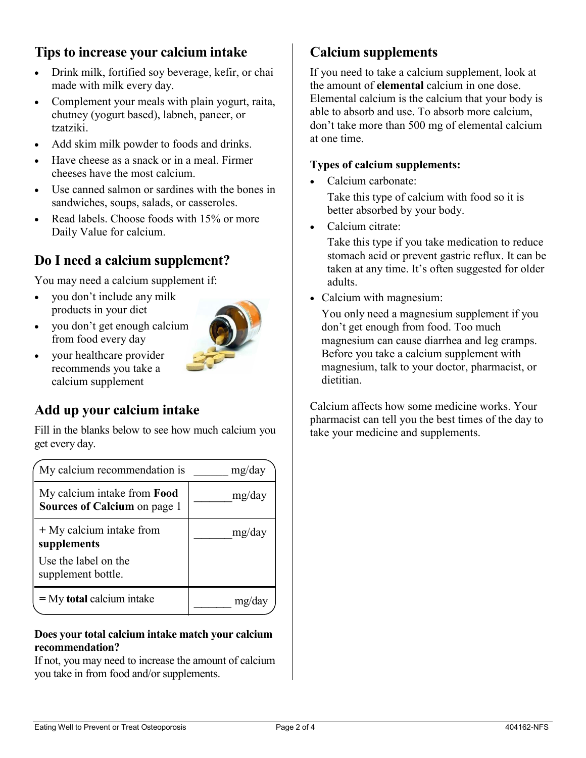#### **Tips to increase your calcium intake**

- Drink milk, fortified soy beverage, kefir, or chai made with milk every day.
- Complement your meals with plain yogurt, raita, chutney (yogurt based), labneh, paneer, or tzatziki.
- Add skim milk powder to foods and drinks.
- Have cheese as a snack or in a meal. Firmer cheeses have the most calcium.
- Use canned salmon or sardines with the bones in sandwiches, soups, salads, or casseroles.
- Read labels. Choose foods with 15% or more Daily Value for calcium.

### **Do I need a calcium supplement?**

You may need a calcium supplement if:

- you don't include any milk products in your diet
- you don't get enough calcium from food every day



• your healthcare provider recommends you take a calcium supplement

### **Add up your calcium intake**

Fill in the blanks below to see how much calcium you get every day.

| My calcium recommendation is                                              | mg/day |
|---------------------------------------------------------------------------|--------|
| My calcium intake from <b>Food</b><br><b>Sources of Calcium</b> on page 1 | mg/day |
| + My calcium intake from<br>supplements                                   | mg/day |
| Use the label on the<br>supplement bottle.                                |        |
| $=$ My total calcium intake                                               |        |

#### **Does your total calcium intake match your calcium recommendation?**

If not, you may need to increase the amount of calcium you take in from food and/or supplements.

### **Calcium supplements**

If you need to take a calcium supplement, look at the amount of **elemental** calcium in one dose. Elemental calcium is the calcium that your body is able to absorb and use. To absorb more calcium, don't take more than 500 mg of elemental calcium at one time.

#### **Types of calcium supplements:**

• Calcium carbonate:

Take this type of calcium with food so it is better absorbed by your body.

Calcium citrate:

Take this type if you take medication to reduce stomach acid or prevent gastric reflux. It can be taken at any time. It's often suggested for older adults.

• Calcium with magnesium:

You only need a magnesium supplement if you don't get enough from food. Too much magnesium can cause diarrhea and leg cramps. Before you take a calcium supplement with magnesium, talk to your doctor, pharmacist, or dietitian.

Calcium affects how some medicine works. Your pharmacist can tell you the best times of the day to take your medicine and supplements.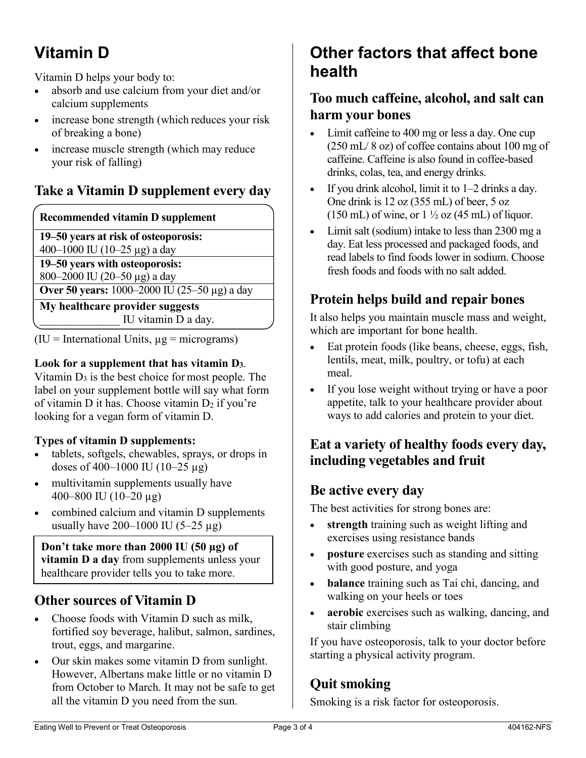# **Vitamin D**

Vitamin D helps your body to:

- absorb and use calcium from your diet and/or calcium supplements
- increase bone strength (which reduces your risk of breaking a bone)
- increase muscle strength (which may reduce your risk of falling)

### **Take a Vitamin D supplement every day**

#### **Recommended vitamin D supplement**

**19–50 years at risk of osteoporosis:** 

400–1000 IU (10–25 µg) a day

**19–50 years with osteoporosis:** 

800–2000 IU (20–50 µg) a day

**Over 50 years:** 1000–2000 IU (25–50 µg) a day

**My healthcare provider suggests** IU vitamin D a day.

 $(IU = International Units, µg = micrograms)$ 

#### **Look for a supplement that has vitamin D3**.

Vitamin  $D_3$  is the best choice for most people. The label on your supplement bottle will say what form of vitamin D it has. Choose vitamin  $D_2$  if you're looking for a vegan form of vitamin D.

#### **Types of vitamin D supplements:**

- tablets, softgels, chewables, sprays, or drops in doses of 400–1000 IU (10–25  $\mu$ g)
- multivitamin supplements usually have 400–800 IU (10–20 µg)
- combined calcium and vitamin D supplements usually have  $200-1000$  IU (5-25  $\mu$ g)

**Don't take more than 2000 IU (50 µg) of vitamin D a day** from supplements unless your healthcare provider tells you to take more.

### **Other sources of Vitamin D**

- Choose foods with Vitamin D such as milk. fortified soy beverage, halibut, salmon, sardines, trout, eggs, and margarine.
- Our skin makes some vitamin D from sunlight. However, Albertans make little or no vitamin D from October to March. It may not be safe to get all the vitamin D you need from the sun.

## **Other factors that affect bone health**

### **Too much caffeine, alcohol, and salt can harm your bones**

- Limit caffeine to 400 mg or less a day. One cup (250 mL/ 8 oz) of coffee contains about 100 mg of caffeine. Caffeine is also found in coffee-based drinks, colas, tea, and energy drinks.
- If you drink alcohol, limit it to  $1-2$  drinks a day. One drink is 12 oz (355 mL) of beer, 5 oz  $(150 \text{ mL})$  of wine, or  $1\frac{1}{2}$  oz  $(45 \text{ mL})$  of liquor.
- Limit salt (sodium) intake to less than 2300 mg a day. Eat less processed and packaged foods, and read labels to find foods lower in sodium. Choose fresh foods and foods with no salt added.

### **Protein helps build and repair bones**

It also helps you maintain muscle mass and weight, which are important for bone health.

- Eat protein foods (like beans, cheese, eggs, fish, lentils, meat, milk, poultry, or tofu) at each meal.
- If you lose weight without trying or have a poor appetite, talk to your healthcare provider about ways to add calories and protein to your diet.

### **Eat a variety of healthy foods every day, including vegetables and fruit**

### **Be active every day**

The best activities for strong bones are:

- **strength** training such as weight lifting and exercises using resistance bands
- **posture** exercises such as standing and sitting with good posture, and yoga
- **balance** training such as Tai chi, dancing, and walking on your heels or toes
- **aerobic** exercises such as walking, dancing, and stair climbing

If you have osteoporosis, talk to your doctor before starting a physical activity program.

### **Quit smoking**

Smoking is a risk factor for osteoporosis.